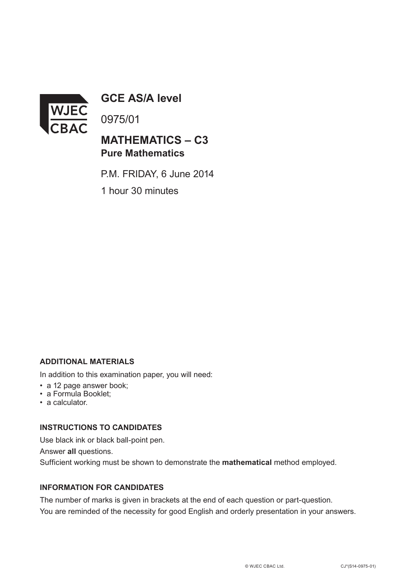

**GCE AS/A level**

0975/01

# **MATHEMATICS – C3 Pure Mathematics**

P.M. FRIDAY, 6 June 2014

1 hour 30 minutes

### **ADDITIONAL MATERIALS**

In addition to this examination paper, you will need:

- a 12 page answer book;
- a Formula Booklet;
- a calculator.

#### **INSTRUCTIONS TO CANDIDATES**

Use black ink or black ball-point pen. Answer **all** questions. Sufficient working must be shown to demonstrate the **mathematical** method employed.

## **INFORMATION FOR CANDIDATES**

The number of marks is given in brackets at the end of each question or part-question. You are reminded of the necessity for good English and orderly presentation in your answers.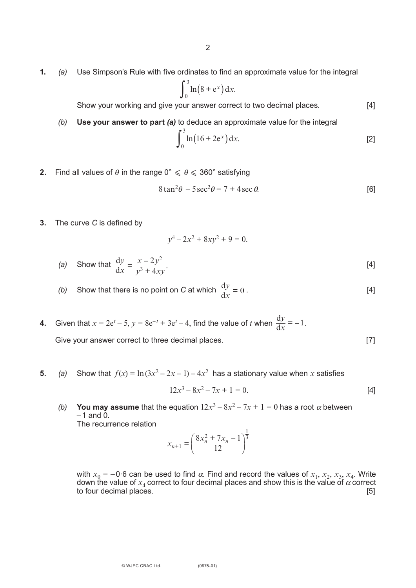**1.** *(a)* Use Simpson's Rule with five ordinates to find an approximate value for the integral

$$
\int_0^3 \ln(8 + e^x) dx.
$$

Show your working and give your answer correct to two decimal places. [4]

*(b)* **Use your answer to part** *(a)* to deduce an approximate value for the integral

$$
\int_0^3 \ln(16 + 2e^x) dx.
$$
 [2]

**2.** Find all values of  $\theta$  in the range  $0^{\circ} \le \theta \le 360^{\circ}$  satisfying

$$
8\tan^2\theta - 5\sec^2\theta = 7 + 4\sec\theta.
$$
 [6]

**3.** The curve *C* is defined by

$$
y^4 - 2x^2 + 8xy^2 + 9 = 0
$$

(a) Show that 
$$
\frac{dy}{dx} = \frac{x - 2y^2}{y^3 + 4xy}.
$$
 [4]

(b) Show that there is no point on *C* at which  $\frac{dy}{dx} = 0$ . [4] d *y*  $\frac{y}{x} = 0$ 

**4.** Given that  $x = 2e^{t} - 5$ ,  $y = 8e^{-t} + 3e^{t} - 4$ , find the value of *t* when  $\frac{dy}{dx} = -1$ . Give your answer correct to three decimal places. The same state of  $[7]$ d  $\frac{y}{x} = -1$ 

**5.** *(a)* Show that  $f(x) = \ln(3x^2 - 2x - 1) - 4x^2$  has a stationary value when x satisfies

$$
12x^3 - 8x^2 - 7x + 1 = 0.
$$
 [4]

*(b)* You may assume that the equation  $12x^3 - 8x^2 - 7x + 1 = 0$  has a root  $\alpha$  between –1 and 0.

The recurrence relation

$$
x_{n+1} = \left(\frac{8x_n^2 + 7x_n - 1}{12}\right)^{\frac{1}{3}}
$$

with  $x_0 = -0.6$  can be used to find  $\alpha$ . Find and record the values of  $x_1, x_2, x_3, x_4$ . Write down the value of  $x_4$  correct to four decimal places and show this is the value of  $\alpha$  correct to four decimal places. [5]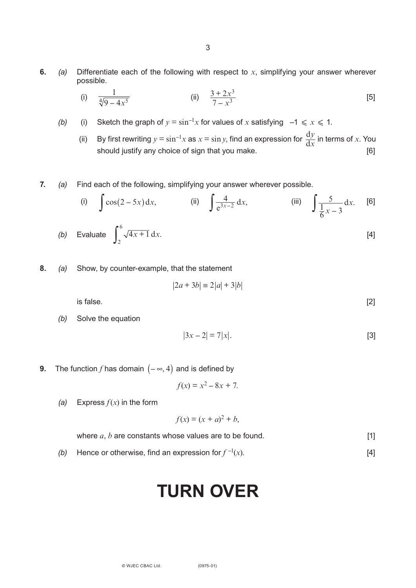**6.** *(a)* Differentiate each of the following with respect to *x*, simplifying your answer wherever possible.

(i) 
$$
\frac{1}{\sqrt[4]{9-4x^5}}
$$
 (ii)  $\frac{3+2x^3}{7-x^3}$  [5]

- *(b)* (i) Sketch the graph of  $y = sin^{-1}x$  for values of *x* satisfying  $-1 \le x \le 1$ .
	- (ii) By first rewriting  $y = \sin^{-1}x$  as  $x = \sin y$ , find an expression for  $\frac{dy}{dx}$  in terms of *x*. You should justify any choice of sign that you make.  $\frac{dX}{dx}$  [6] d *y x*
- **7.** *(a)* Find each of the following, simplifying your answer wherever possible.

(i) 
$$
\int \cos(2-5x) dx
$$
, (ii)  $\int \frac{4}{e^{3x-2}} dx$ , (iii)  $\int \frac{5}{\frac{1}{6}x-3} dx$ . [6]  
(b) Evaluate  $\int_{2}^{6} \sqrt{4x+1} dx$ . [4]

**8.** *(a)* Show, by counter-example, that the statement

$$
2a + 3b \equiv 2|a| + 3|b|
$$

is false.  $[2]$ 

*(b)* Solve the equation

$$
|3x - 2| = 7|x|.
$$
 [3]

**9.** The function  $f$  has domain  $(-\infty, 4)$  and is defined by

$$
f(x) = x^2 - 8x + 7.
$$

*(a)* Express  $f(x)$  in the form

$$
f(x) = (x + a)^2 + b,
$$

| where $a, b$ are constants whose values are to be found. |
|----------------------------------------------------------|
|----------------------------------------------------------|

*(b)* Hence or otherwise, find an expression for  $f^{-1}(x)$ . (*x*). [4]

# **TURN OVER**